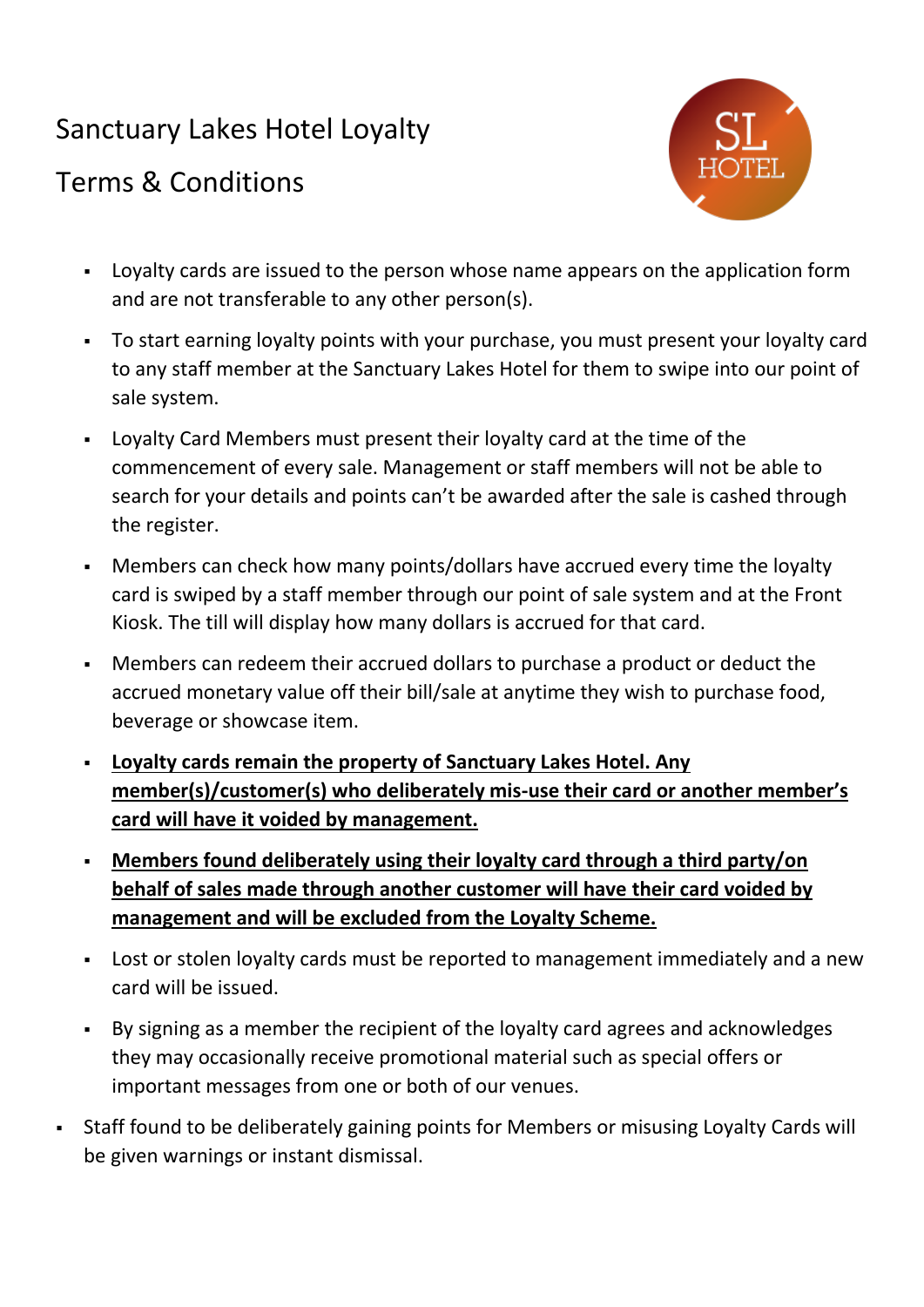# Sanctuary Lakes Hotel Loyalty

## Terms & Conditions



- Loyalty cards are issued to the person whose name appears on the application form and are not transferable to any other person(s).
- To start earning loyalty points with your purchase, you must present your loyalty card to any staff member at the Sanctuary Lakes Hotel for them to swipe into our point of sale system.
- Loyalty Card Members must present their loyalty card at the time of the commencement of every sale. Management or staff members will not be able to search for your details and points can't be awarded after the sale is cashed through the register.
- Members can check how many points/dollars have accrued every time the loyalty card is swiped by a staff member through our point of sale system and at the Front Kiosk. The till will display how many dollars is accrued for that card.
- Members can redeem their accrued dollars to purchase a product or deduct the accrued monetary value off their bill/sale at anytime they wish to purchase food, beverage or showcase item.
- **Loyalty cards remain the property of Sanctuary Lakes Hotel. Any member(s)/customer(s) who deliberately mis-use their card or another member's card will have it voided by management.**
- **Members found deliberately using their loyalty card through a third party/on behalf of sales made through another customer will have their card voided by management and will be excluded from the Loyalty Scheme.**
- Lost or stolen loyalty cards must be reported to management immediately and a new card will be issued.
- By signing as a member the recipient of the loyalty card agrees and acknowledges they may occasionally receive promotional material such as special offers or important messages from one or both of our venues.
- Staff found to be deliberately gaining points for Members or misusing Loyalty Cards will be given warnings or instant dismissal.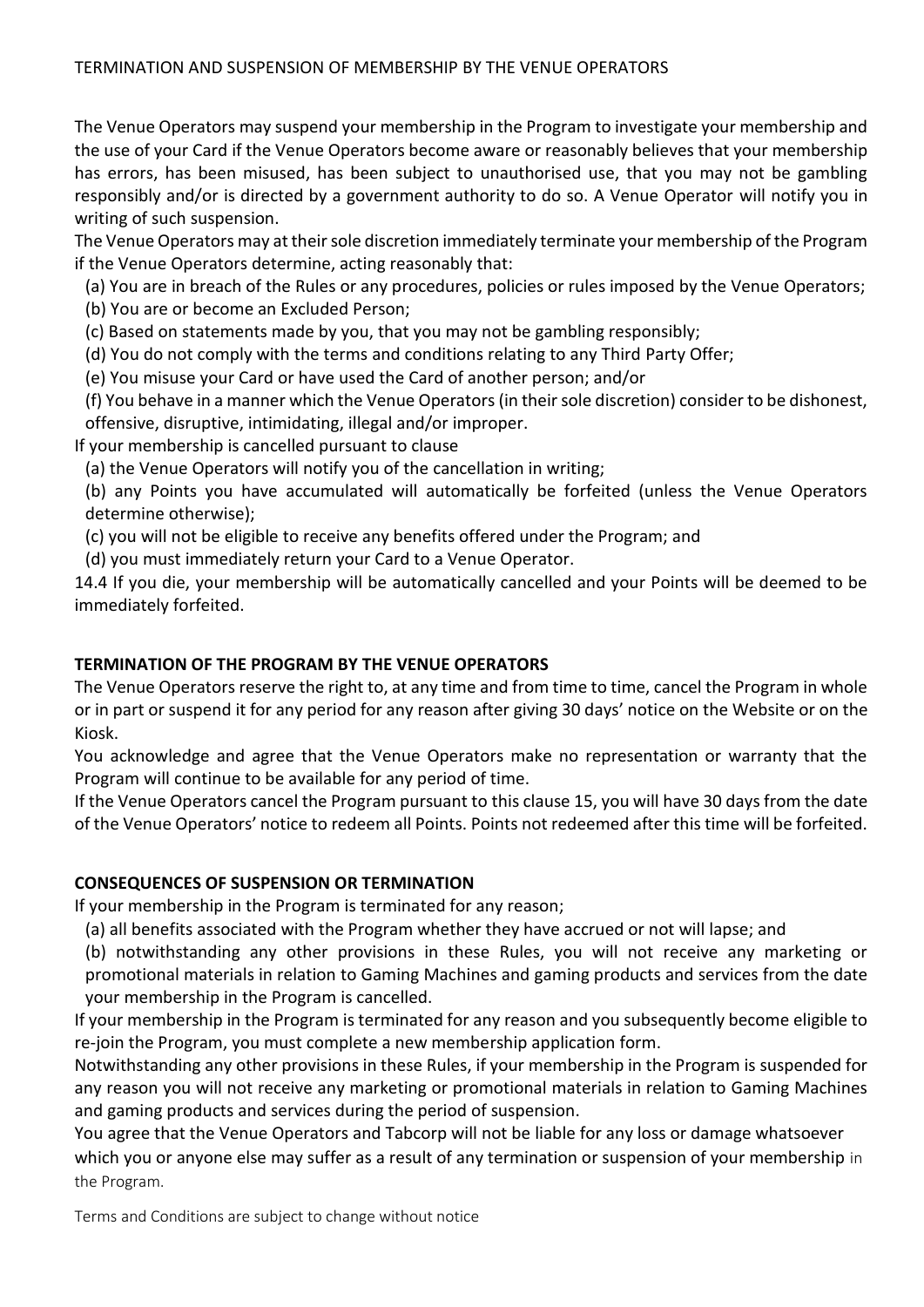The Venue Operators may suspend your membership in the Program to investigate your membership and the use of your Card if the Venue Operators become aware or reasonably believes that your membership has errors, has been misused, has been subject to unauthorised use, that you may not be gambling responsibly and/or is directed by a government authority to do so. A Venue Operator will notify you in writing of such suspension.

The Venue Operators may at their sole discretion immediately terminate your membership of the Program if the Venue Operators determine, acting reasonably that:

(a) You are in breach of the Rules or any procedures, policies or rules imposed by the Venue Operators;

(b) You are or become an Excluded Person;

(c) Based on statements made by you, that you may not be gambling responsibly;

(d) You do not comply with the terms and conditions relating to any Third Party Offer;

(e) You misuse your Card or have used the Card of another person; and/or

(f) You behave in a manner which the Venue Operators (in their sole discretion) consider to be dishonest, offensive, disruptive, intimidating, illegal and/or improper.

If your membership is cancelled pursuant to clause

(a) the Venue Operators will notify you of the cancellation in writing;

(b) any Points you have accumulated will automatically be forfeited (unless the Venue Operators determine otherwise);

(c) you will not be eligible to receive any benefits offered under the Program; and

(d) you must immediately return your Card to a Venue Operator.

14.4 If you die, your membership will be automatically cancelled and your Points will be deemed to be immediately forfeited.

## **TERMINATION OF THE PROGRAM BY THE VENUE OPERATORS**

The Venue Operators reserve the right to, at any time and from time to time, cancel the Program in whole or in part or suspend it for any period for any reason after giving 30 days' notice on the Website or on the Kiosk.

You acknowledge and agree that the Venue Operators make no representation or warranty that the Program will continue to be available for any period of time.

If the Venue Operators cancel the Program pursuant to this clause 15, you will have 30 days from the date of the Venue Operators' notice to redeem all Points. Points not redeemed after this time will be forfeited.

### **CONSEQUENCES OF SUSPENSION OR TERMINATION**

If your membership in the Program is terminated for any reason;

(a) all benefits associated with the Program whether they have accrued or not will lapse; and

(b) notwithstanding any other provisions in these Rules, you will not receive any marketing or promotional materials in relation to Gaming Machines and gaming products and services from the date your membership in the Program is cancelled.

If your membership in the Program is terminated for any reason and you subsequently become eligible to re-join the Program, you must complete a new membership application form.

Notwithstanding any other provisions in these Rules, if your membership in the Program is suspended for any reason you will not receive any marketing or promotional materials in relation to Gaming Machines and gaming products and services during the period of suspension.

You agree that the Venue Operators and Tabcorp will not be liable for any loss or damage whatsoever which you or anyone else may suffer as a result of any termination or suspension of your membership in the Program.

Terms and Conditions are subject to change without notice